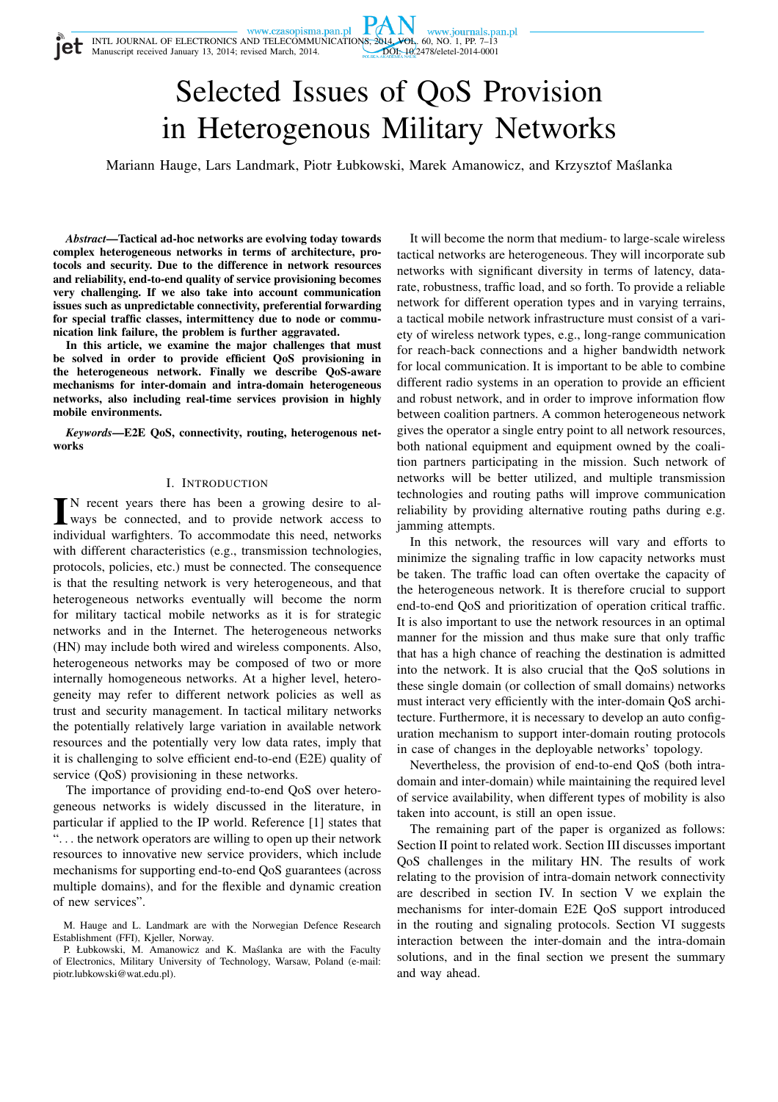# Selected Issues of QoS Provision in Heterogenous Military Networks

Mariann Hauge, Lars Landmark, Piotr Łubkowski, Marek Amanowicz, and Krzysztof Maślanka

*Abstract***—Tactical ad-hoc networks are evolving today towards complex heterogeneous networks in terms of architecture, protocols and security. Due to the difference in network resources and reliability, end-to-end quality of service provisioning becomes very challenging. If we also take into account communication issues such as unpredictable connectivity, preferential forwarding for special traffic classes, intermittency due to node or communication link failure, the problem is further aggravated.**

**In this article, we examine the major challenges that must be solved in order to provide efficient QoS provisioning in the heterogeneous network. Finally we describe QoS-aware mechanisms for inter-domain and intra-domain heterogeneous networks, also including real-time services provision in highly mobile environments.**

*Keywords***—E2E QoS, connectivity, routing, heterogenous networks**

### I. INTRODUCTION

IN recent years there has been a growing desire to al-<br>ways be connected, and to provide network access to<br>individual warfighters. To accommodate this need, networks N recent years there has been a growing desire to always be connected, and to provide network access to with different characteristics (e.g., transmission technologies, protocols, policies, etc.) must be connected. The consequence is that the resulting network is very heterogeneous, and that heterogeneous networks eventually will become the norm for military tactical mobile networks as it is for strategic networks and in the Internet. The heterogeneous networks (HN) may include both wired and wireless components. Also, heterogeneous networks may be composed of two or more internally homogeneous networks. At a higher level, heterogeneity may refer to different network policies as well as trust and security management. In tactical military networks the potentially relatively large variation in available network resources and the potentially very low data rates, imply that it is challenging to solve efficient end-to-end (E2E) quality of service (QoS) provisioning in these networks.

The importance of providing end-to-end QoS over heterogeneous networks is widely discussed in the literature, in particular if applied to the IP world. Reference [1] states that ". . . the network operators are willing to open up their network resources to innovative new service providers, which include mechanisms for supporting end-to-end QoS guarantees (across multiple domains), and for the flexible and dynamic creation of new services".

It will become the norm that medium- to large-scale wireless tactical networks are heterogeneous. They will incorporate sub networks with significant diversity in terms of latency, datarate, robustness, traffic load, and so forth. To provide a reliable network for different operation types and in varying terrains, a tactical mobile network infrastructure must consist of a variety of wireless network types, e.g., long-range communication for reach-back connections and a higher bandwidth network for local communication. It is important to be able to combine different radio systems in an operation to provide an efficient and robust network, and in order to improve information flow between coalition partners. A common heterogeneous network gives the operator a single entry point to all network resources, both national equipment and equipment owned by the coalition partners participating in the mission. Such network of networks will be better utilized, and multiple transmission technologies and routing paths will improve communication reliability by providing alternative routing paths during e.g. jamming attempts.

In this network, the resources will vary and efforts to minimize the signaling traffic in low capacity networks must be taken. The traffic load can often overtake the capacity of the heterogeneous network. It is therefore crucial to support end-to-end QoS and prioritization of operation critical traffic. It is also important to use the network resources in an optimal manner for the mission and thus make sure that only traffic that has a high chance of reaching the destination is admitted into the network. It is also crucial that the QoS solutions in these single domain (or collection of small domains) networks must interact very efficiently with the inter-domain QoS architecture. Furthermore, it is necessary to develop an auto configuration mechanism to support inter-domain routing protocols in case of changes in the deployable networks' topology.

Nevertheless, the provision of end-to-end QoS (both intradomain and inter-domain) while maintaining the required level of service availability, when different types of mobility is also taken into account, is still an open issue.

The remaining part of the paper is organized as follows: Section II point to related work. Section III discusses important QoS challenges in the military HN. The results of work relating to the provision of intra-domain network connectivity are described in section IV. In section V we explain the mechanisms for inter-domain E2E QoS support introduced in the routing and signaling protocols. Section VI suggests interaction between the inter-domain and the intra-domain solutions, and in the final section we present the summary and way ahead.

M. Hauge and L. Landmark are with the Norwegian Defence Research Establishment (FFI), Kjeller, Norway.

P. Łubkowski, M. Amanowicz and K. Maślanka are with the Faculty of Electronics, Military University of Technology, Warsaw, Poland (e-mail: piotr.lubkowski@wat.edu.pl).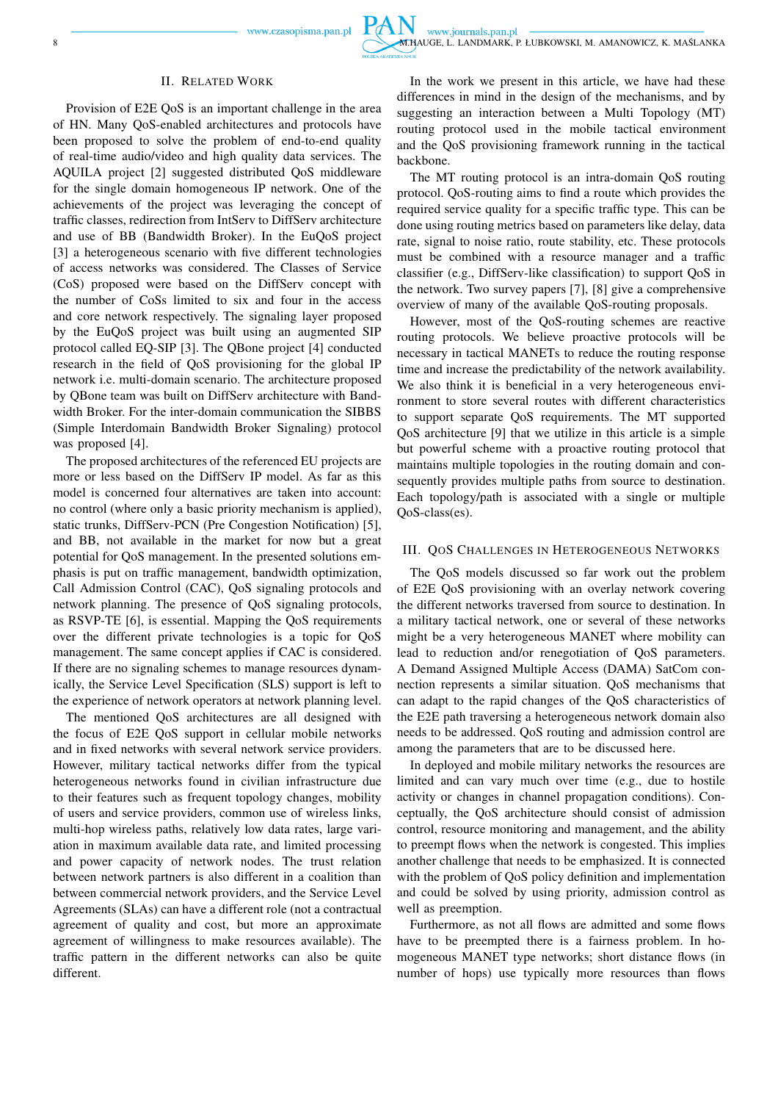## II. RELATED WORK

Provision of E2E QoS is an important challenge in the area of HN. Many QoS-enabled architectures and protocols have been proposed to solve the problem of end-to-end quality of real-time audio/video and high quality data services. The AQUILA project [2] suggested distributed QoS middleware for the single domain homogeneous IP network. One of the achievements of the project was leveraging the concept of traffic classes, redirection from IntServ to DiffServ architecture and use of BB (Bandwidth Broker). In the EuQoS project [3] a heterogeneous scenario with five different technologies of access networks was considered. The Classes of Service (CoS) proposed were based on the DiffServ concept with the number of CoSs limited to six and four in the access and core network respectively. The signaling layer proposed by the EuQoS project was built using an augmented SIP protocol called EQ-SIP [3]. The QBone project [4] conducted research in the field of QoS provisioning for the global IP network i.e. multi-domain scenario. The architecture proposed by QBone team was built on DiffServ architecture with Bandwidth Broker. For the inter-domain communication the SIBBS (Simple Interdomain Bandwidth Broker Signaling) protocol was proposed [4].

The proposed architectures of the referenced EU projects are more or less based on the DiffServ IP model. As far as this model is concerned four alternatives are taken into account: no control (where only a basic priority mechanism is applied), static trunks, DiffServ-PCN (Pre Congestion Notification) [5], and BB, not available in the market for now but a great potential for QoS management. In the presented solutions emphasis is put on traffic management, bandwidth optimization, Call Admission Control (CAC), QoS signaling protocols and network planning. The presence of QoS signaling protocols, as RSVP-TE [6], is essential. Mapping the QoS requirements over the different private technologies is a topic for QoS management. The same concept applies if CAC is considered. If there are no signaling schemes to manage resources dynamically, the Service Level Specification (SLS) support is left to the experience of network operators at network planning level.

The mentioned QoS architectures are all designed with the focus of E2E QoS support in cellular mobile networks and in fixed networks with several network service providers. However, military tactical networks differ from the typical heterogeneous networks found in civilian infrastructure due to their features such as frequent topology changes, mobility of users and service providers, common use of wireless links, multi-hop wireless paths, relatively low data rates, large variation in maximum available data rate, and limited processing and power capacity of network nodes. The trust relation between network partners is also different in a coalition than between commercial network providers, and the Service Level Agreements (SLAs) can have a different role (not a contractual agreement of quality and cost, but more an approximate agreement of willingness to make resources available). The traffic pattern in the different networks can also be quite different.

In the work we present in this article, we have had these differences in mind in the design of the mechanisms, and by suggesting an interaction between a Multi Topology (MT) routing protocol used in the mobile tactical environment and the QoS provisioning framework running in the tactical backbone.

The MT routing protocol is an intra-domain QoS routing protocol. QoS-routing aims to find a route which provides the required service quality for a specific traffic type. This can be done using routing metrics based on parameters like delay, data rate, signal to noise ratio, route stability, etc. These protocols must be combined with a resource manager and a traffic classifier (e.g., DiffServ-like classification) to support QoS in the network. Two survey papers [7], [8] give a comprehensive overview of many of the available QoS-routing proposals.

However, most of the QoS-routing schemes are reactive routing protocols. We believe proactive protocols will be necessary in tactical MANETs to reduce the routing response time and increase the predictability of the network availability. We also think it is beneficial in a very heterogeneous environment to store several routes with different characteristics to support separate QoS requirements. The MT supported QoS architecture [9] that we utilize in this article is a simple but powerful scheme with a proactive routing protocol that maintains multiple topologies in the routing domain and consequently provides multiple paths from source to destination. Each topology/path is associated with a single or multiple QoS-class(es).

### III. QOS CHALLENGES IN HETEROGENEOUS NETWORKS

The QoS models discussed so far work out the problem of E2E QoS provisioning with an overlay network covering the different networks traversed from source to destination. In a military tactical network, one or several of these networks might be a very heterogeneous MANET where mobility can lead to reduction and/or renegotiation of QoS parameters. A Demand Assigned Multiple Access (DAMA) SatCom connection represents a similar situation. QoS mechanisms that can adapt to the rapid changes of the QoS characteristics of the E2E path traversing a heterogeneous network domain also needs to be addressed. QoS routing and admission control are among the parameters that are to be discussed here.

In deployed and mobile military networks the resources are limited and can vary much over time (e.g., due to hostile activity or changes in channel propagation conditions). Conceptually, the QoS architecture should consist of admission control, resource monitoring and management, and the ability to preempt flows when the network is congested. This implies another challenge that needs to be emphasized. It is connected with the problem of QoS policy definition and implementation and could be solved by using priority, admission control as well as preemption.

Furthermore, as not all flows are admitted and some flows have to be preempted there is a fairness problem. In homogeneous MANET type networks; short distance flows (in number of hops) use typically more resources than flows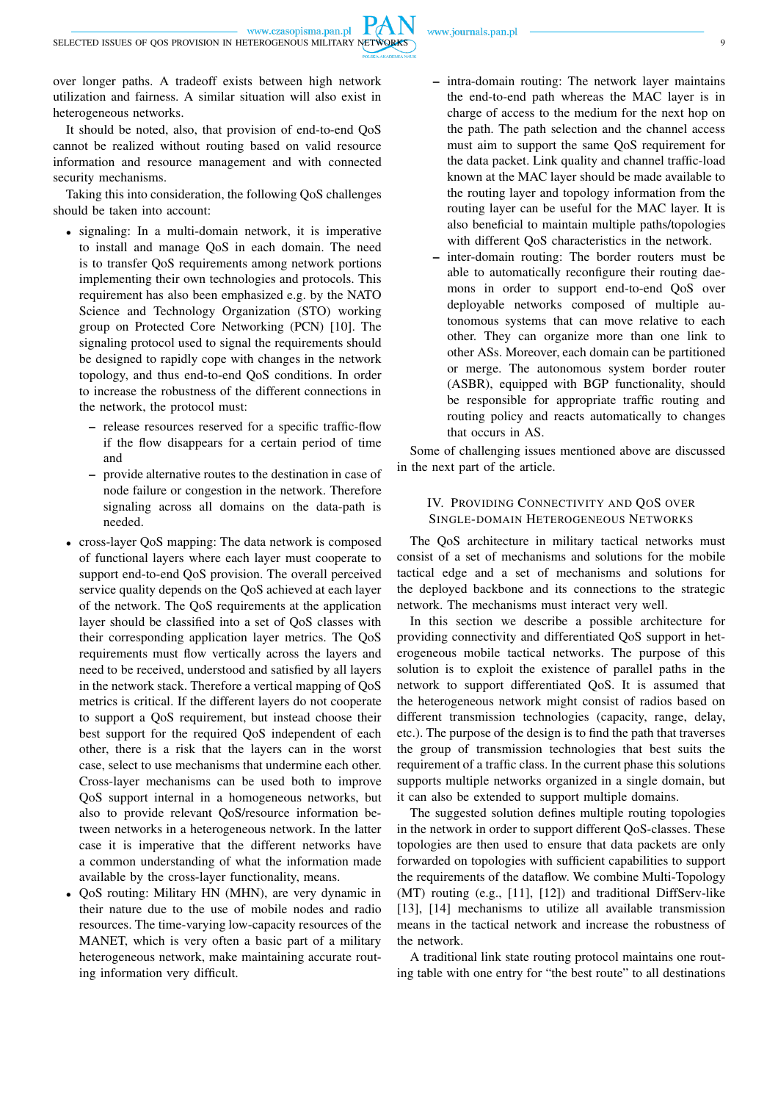www.czasopisma.pan.pl SELECTED ISSUES OF QOS PROVISION IN HETEROGENOUS MILITARY NETWORKS

PA

www.journals.pan.pl

over longer paths. A tradeoff exists between high network utilization and fairness. A similar situation will also exist in heterogeneous networks.

It should be noted, also, that provision of end-to-end QoS cannot be realized without routing based on valid resource information and resource management and with connected security mechanisms.

Taking this into consideration, the following QoS challenges should be taken into account:

- signaling: In a multi-domain network, it is imperative to install and manage QoS in each domain. The need is to transfer QoS requirements among network portions implementing their own technologies and protocols. This requirement has also been emphasized e.g. by the NATO Science and Technology Organization (STO) working group on Protected Core Networking (PCN) [10]. The signaling protocol used to signal the requirements should be designed to rapidly cope with changes in the network topology, and thus end-to-end QoS conditions. In order to increase the robustness of the different connections in the network, the protocol must:
	- **–** release resources reserved for a specific traffic-flow if the flow disappears for a certain period of time and
	- **–** provide alternative routes to the destination in case of node failure or congestion in the network. Therefore signaling across all domains on the data-path is needed.
- cross-layer QoS mapping: The data network is composed of functional layers where each layer must cooperate to support end-to-end QoS provision. The overall perceived service quality depends on the QoS achieved at each layer of the network. The QoS requirements at the application layer should be classified into a set of QoS classes with their corresponding application layer metrics. The QoS requirements must flow vertically across the layers and need to be received, understood and satisfied by all layers in the network stack. Therefore a vertical mapping of QoS metrics is critical. If the different layers do not cooperate to support a QoS requirement, but instead choose their best support for the required QoS independent of each other, there is a risk that the layers can in the worst case, select to use mechanisms that undermine each other. Cross-layer mechanisms can be used both to improve QoS support internal in a homogeneous networks, but also to provide relevant QoS/resource information between networks in a heterogeneous network. In the latter case it is imperative that the different networks have a common understanding of what the information made available by the cross-layer functionality, means.
- QoS routing: Military HN (MHN), are very dynamic in their nature due to the use of mobile nodes and radio resources. The time-varying low-capacity resources of the MANET, which is very often a basic part of a military heterogeneous network, make maintaining accurate routing information very difficult.
- **–** intra-domain routing: The network layer maintains the end-to-end path whereas the MAC layer is in charge of access to the medium for the next hop on the path. The path selection and the channel access must aim to support the same QoS requirement for the data packet. Link quality and channel traffic-load known at the MAC layer should be made available to the routing layer and topology information from the routing layer can be useful for the MAC layer. It is also beneficial to maintain multiple paths/topologies with different QoS characteristics in the network.
- **–** inter-domain routing: The border routers must be able to automatically reconfigure their routing daemons in order to support end-to-end QoS over deployable networks composed of multiple autonomous systems that can move relative to each other. They can organize more than one link to other ASs. Moreover, each domain can be partitioned or merge. The autonomous system border router (ASBR), equipped with BGP functionality, should be responsible for appropriate traffic routing and routing policy and reacts automatically to changes that occurs in AS.

Some of challenging issues mentioned above are discussed in the next part of the article.

# IV. PROVIDING CONNECTIVITY AND QOS OVER SINGLE-DOMAIN HETEROGENEOUS NETWORKS

The QoS architecture in military tactical networks must consist of a set of mechanisms and solutions for the mobile tactical edge and a set of mechanisms and solutions for the deployed backbone and its connections to the strategic network. The mechanisms must interact very well.

In this section we describe a possible architecture for providing connectivity and differentiated QoS support in heterogeneous mobile tactical networks. The purpose of this solution is to exploit the existence of parallel paths in the network to support differentiated QoS. It is assumed that the heterogeneous network might consist of radios based on different transmission technologies (capacity, range, delay, etc.). The purpose of the design is to find the path that traverses the group of transmission technologies that best suits the requirement of a traffic class. In the current phase this solutions supports multiple networks organized in a single domain, but it can also be extended to support multiple domains.

The suggested solution defines multiple routing topologies in the network in order to support different QoS-classes. These topologies are then used to ensure that data packets are only forwarded on topologies with sufficient capabilities to support the requirements of the dataflow. We combine Multi-Topology (MT) routing (e.g., [11], [12]) and traditional DiffServ-like [13], [14] mechanisms to utilize all available transmission means in the tactical network and increase the robustness of the network.

A traditional link state routing protocol maintains one routing table with one entry for "the best route" to all destinations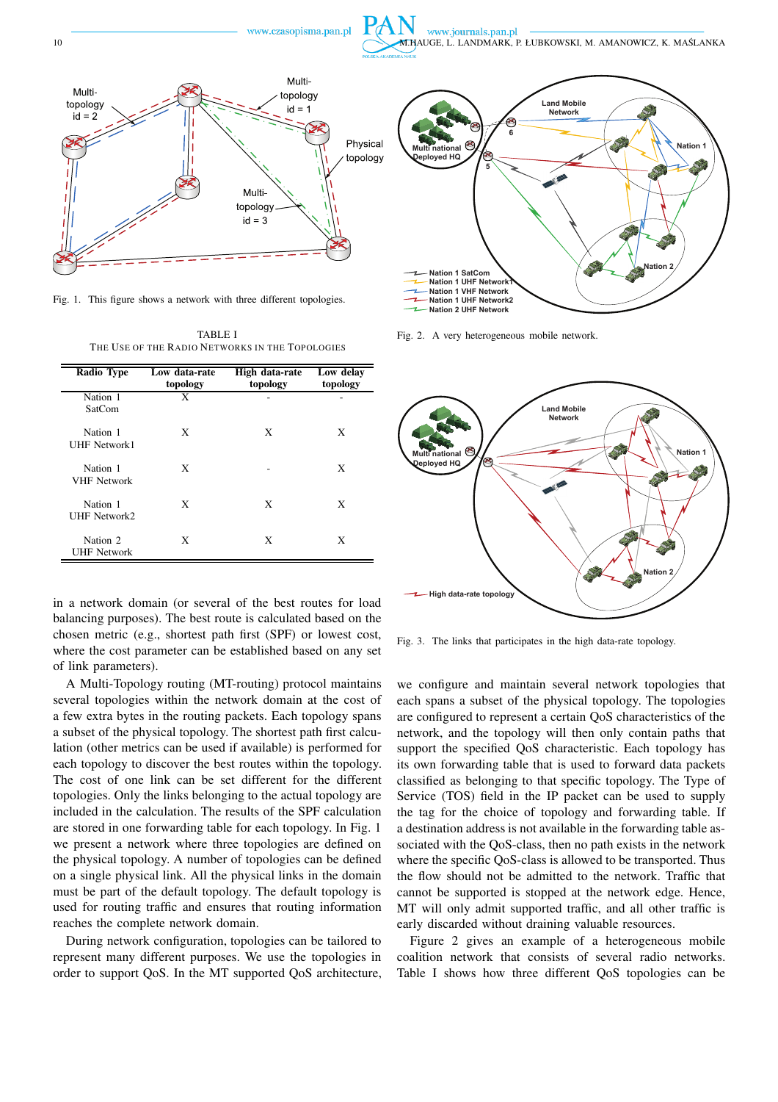



Fig. 1. This figure shows a network with three different topologies.

TABLE I THE USE OF THE RADIO NETWORKS IN THE TOPOLOGIES

| Radio Type                              | Low data-rate<br>topology | High data-rate<br>topology | Low delay<br>topology |
|-----------------------------------------|---------------------------|----------------------------|-----------------------|
| $\overline{\text{N}}$ ation 1<br>SatCom | X                         |                            |                       |
| Nation 1<br><b>UHF Network1</b>         | X                         | X                          | X                     |
| Nation 1<br><b>VHF Network</b>          | X                         |                            | X                     |
| Nation 1<br>UHF Network2                | X                         | X                          | X                     |
| Nation 2<br><b>UHF Network</b>          | X                         | X                          | X                     |

in a network domain (or several of the best routes for load balancing purposes). The best route is calculated based on the chosen metric (e.g., shortest path first (SPF) or lowest cost, where the cost parameter can be established based on any set of link parameters).

A Multi-Topology routing (MT-routing) protocol maintains several topologies within the network domain at the cost of a few extra bytes in the routing packets. Each topology spans a subset of the physical topology. The shortest path first calculation (other metrics can be used if available) is performed for each topology to discover the best routes within the topology. The cost of one link can be set different for the different topologies. Only the links belonging to the actual topology are included in the calculation. The results of the SPF calculation are stored in one forwarding table for each topology. In Fig. 1 we present a network where three topologies are defined on the physical topology. A number of topologies can be defined on a single physical link. All the physical links in the domain must be part of the default topology. The default topology is used for routing traffic and ensures that routing information reaches the complete network domain.

During network configuration, topologies can be tailored to represent many different purposes. We use the topologies in order to support QoS. In the MT supported QoS architecture,



Fig. 2. A very heterogeneous mobile network.



Fig. 3. The links that participates in the high data-rate topology.

we configure and maintain several network topologies that each spans a subset of the physical topology. The topologies are configured to represent a certain QoS characteristics of the network, and the topology will then only contain paths that support the specified QoS characteristic. Each topology has its own forwarding table that is used to forward data packets classified as belonging to that specific topology. The Type of Service (TOS) field in the IP packet can be used to supply the tag for the choice of topology and forwarding table. If a destination address is not available in the forwarding table associated with the QoS-class, then no path exists in the network where the specific QoS-class is allowed to be transported. Thus the flow should not be admitted to the network. Traffic that cannot be supported is stopped at the network edge. Hence, MT will only admit supported traffic, and all other traffic is early discarded without draining valuable resources.

Figure 2 gives an example of a heterogeneous mobile coalition network that consists of several radio networks. Table I shows how three different QoS topologies can be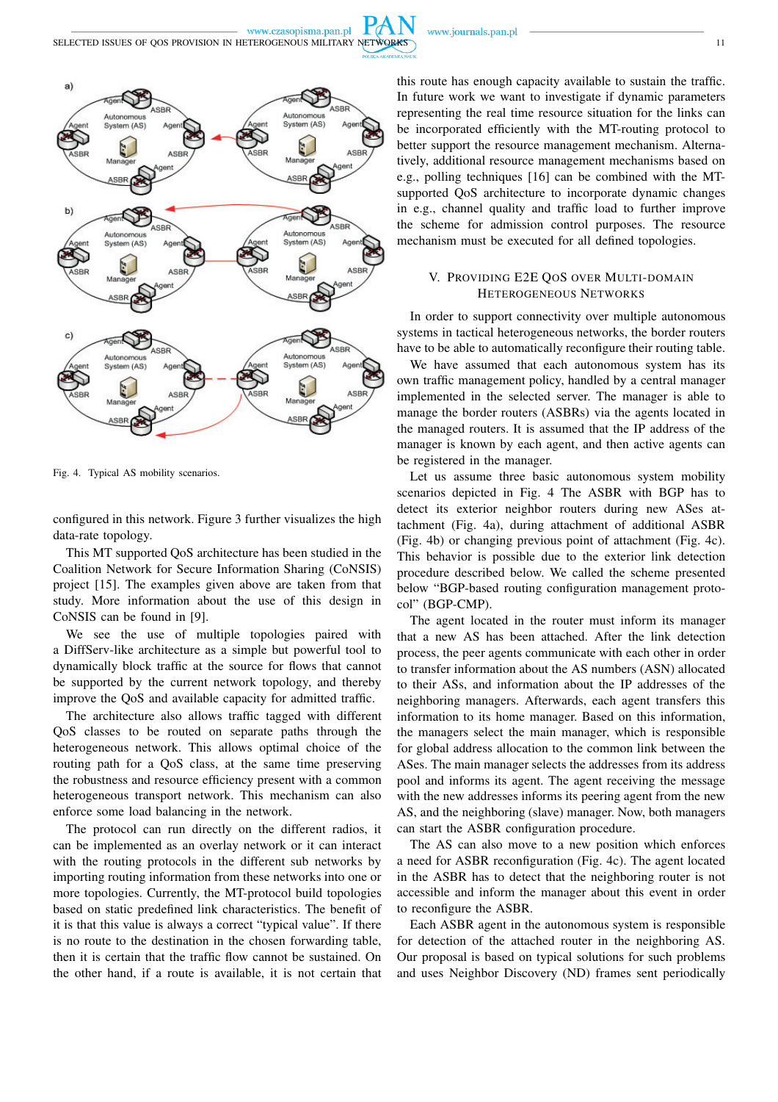

www.journals.pan.pl



Fig. 4. Typical AS mobility scenarios.

configured in this network. Figure 3 further visualizes the high data-rate topology.

This MT supported QoS architecture has been studied in the Coalition Network for Secure Information Sharing (CoNSIS) project [15]. The examples given above are taken from that study. More information about the use of this design in CoNSIS can be found in [9].

We see the use of multiple topologies paired with a DiffServ-like architecture as a simple but powerful tool to dynamically block traffic at the source for flows that cannot be supported by the current network topology, and thereby improve the QoS and available capacity for admitted traffic.

The architecture also allows traffic tagged with different QoS classes to be routed on separate paths through the heterogeneous network. This allows optimal choice of the routing path for a QoS class, at the same time preserving the robustness and resource efficiency present with a common heterogeneous transport network. This mechanism can also enforce some load balancing in the network.

The protocol can run directly on the different radios, it can be implemented as an overlay network or it can interact with the routing protocols in the different sub networks by importing routing information from these networks into one or more topologies. Currently, the MT-protocol build topologies based on static predefined link characteristics. The benefit of it is that this value is always a correct "typical value". If there is no route to the destination in the chosen forwarding table, then it is certain that the traffic flow cannot be sustained. On the other hand, if a route is available, it is not certain that

this route has enough capacity available to sustain the traffic. In future work we want to investigate if dynamic parameters representing the real time resource situation for the links can be incorporated efficiently with the MT-routing protocol to better support the resource management mechanism. Alternatively, additional resource management mechanisms based on e.g., polling techniques [16] can be combined with the MTsupported QoS architecture to incorporate dynamic changes in e.g., channel quality and traffic load to further improve the scheme for admission control purposes. The resource mechanism must be executed for all defined topologies.

# V. PROVIDING E2E QOS OVER MULTI-DOMAIN HETEROGENEOUS NETWORKS

In order to support connectivity over multiple autonomous systems in tactical heterogeneous networks, the border routers have to be able to automatically reconfigure their routing table.

We have assumed that each autonomous system has its own traffic management policy, handled by a central manager implemented in the selected server. The manager is able to manage the border routers (ASBRs) via the agents located in the managed routers. It is assumed that the IP address of the manager is known by each agent, and then active agents can be registered in the manager.

Let us assume three basic autonomous system mobility scenarios depicted in Fig. 4 The ASBR with BGP has to detect its exterior neighbor routers during new ASes attachment (Fig. 4a), during attachment of additional ASBR (Fig. 4b) or changing previous point of attachment (Fig. 4c). This behavior is possible due to the exterior link detection procedure described below. We called the scheme presented below "BGP-based routing configuration management protocol" (BGP-CMP).

The agent located in the router must inform its manager that a new AS has been attached. After the link detection process, the peer agents communicate with each other in order to transfer information about the AS numbers (ASN) allocated to their ASs, and information about the IP addresses of the neighboring managers. Afterwards, each agent transfers this information to its home manager. Based on this information, the managers select the main manager, which is responsible for global address allocation to the common link between the ASes. The main manager selects the addresses from its address pool and informs its agent. The agent receiving the message with the new addresses informs its peering agent from the new AS, and the neighboring (slave) manager. Now, both managers can start the ASBR configuration procedure.

The AS can also move to a new position which enforces a need for ASBR reconfiguration (Fig. 4c). The agent located in the ASBR has to detect that the neighboring router is not accessible and inform the manager about this event in order to reconfigure the ASBR.

Each ASBR agent in the autonomous system is responsible for detection of the attached router in the neighboring AS. Our proposal is based on typical solutions for such problems and uses Neighbor Discovery (ND) frames sent periodically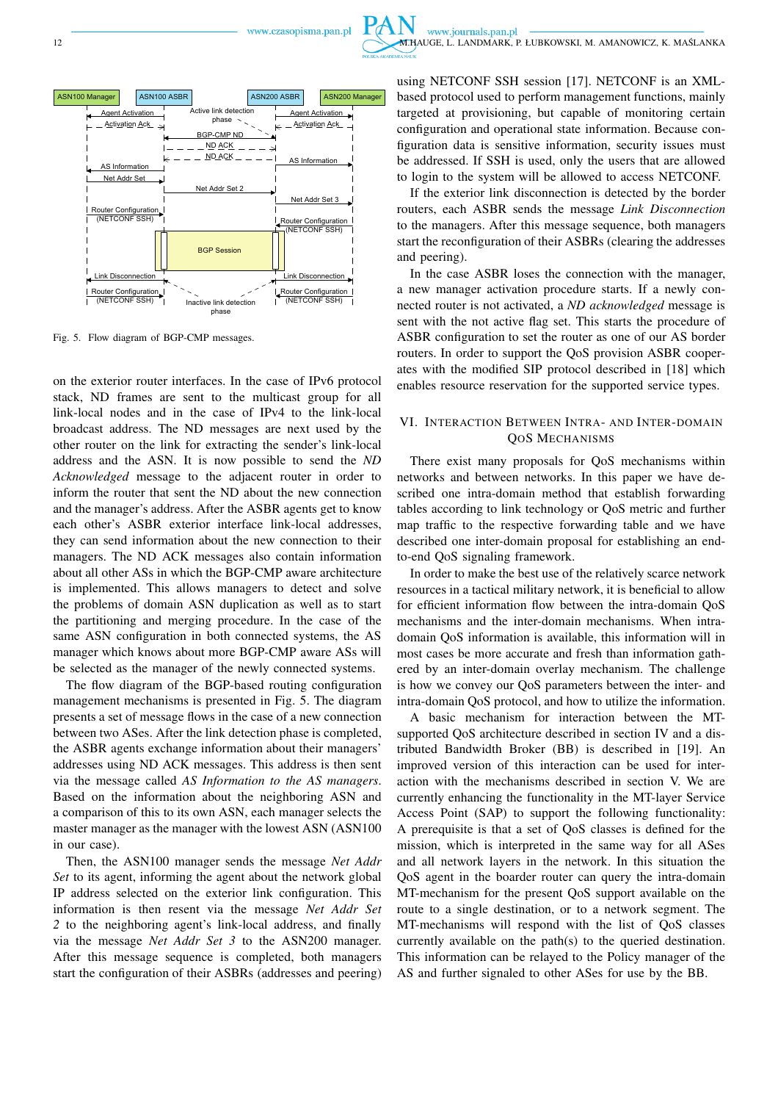

 $P\mathcal{A}$ 



Fig. 5. Flow diagram of BGP-CMP messages.

on the exterior router interfaces. In the case of IPv6 protocol stack, ND frames are sent to the multicast group for all link-local nodes and in the case of IPv4 to the link-local broadcast address. The ND messages are next used by the other router on the link for extracting the sender's link-local address and the ASN. It is now possible to send the *ND Acknowledged* message to the adjacent router in order to inform the router that sent the ND about the new connection and the manager's address. After the ASBR agents get to know each other's ASBR exterior interface link-local addresses, they can send information about the new connection to their managers. The ND ACK messages also contain information about all other ASs in which the BGP-CMP aware architecture is implemented. This allows managers to detect and solve the problems of domain ASN duplication as well as to start the partitioning and merging procedure. In the case of the same ASN configuration in both connected systems, the AS manager which knows about more BGP-CMP aware ASs will be selected as the manager of the newly connected systems.

The flow diagram of the BGP-based routing configuration management mechanisms is presented in Fig. 5. The diagram presents a set of message flows in the case of a new connection between two ASes. After the link detection phase is completed, the ASBR agents exchange information about their managers' addresses using ND ACK messages. This address is then sent via the message called *AS Information to the AS managers*. Based on the information about the neighboring ASN and a comparison of this to its own ASN, each manager selects the master manager as the manager with the lowest ASN (ASN100 in our case).

Then, the ASN100 manager sends the message *Net Addr Set* to its agent, informing the agent about the network global IP address selected on the exterior link configuration. This information is then resent via the message *Net Addr Set 2* to the neighboring agent's link-local address, and finally via the message *Net Addr Set 3* to the ASN200 manager. After this message sequence is completed, both managers start the configuration of their ASBRs (addresses and peering)

using NETCONF SSH session [17]. NETCONF is an XMLbased protocol used to perform management functions, mainly targeted at provisioning, but capable of monitoring certain configuration and operational state information. Because configuration data is sensitive information, security issues must be addressed. If SSH is used, only the users that are allowed to login to the system will be allowed to access NETCONF.

If the exterior link disconnection is detected by the border routers, each ASBR sends the message *Link Disconnection* to the managers. After this message sequence, both managers start the reconfiguration of their ASBRs (clearing the addresses and peering).

In the case ASBR loses the connection with the manager, a new manager activation procedure starts. If a newly connected router is not activated, a *ND acknowledged* message is sent with the not active flag set. This starts the procedure of ASBR configuration to set the router as one of our AS border routers. In order to support the QoS provision ASBR cooperates with the modified SIP protocol described in [18] which enables resource reservation for the supported service types.

# VI. INTERACTION BETWEEN INTRA- AND INTER-DOMAIN QOS MECHANISMS

There exist many proposals for QoS mechanisms within networks and between networks. In this paper we have described one intra-domain method that establish forwarding tables according to link technology or QoS metric and further map traffic to the respective forwarding table and we have described one inter-domain proposal for establishing an endto-end QoS signaling framework.

In order to make the best use of the relatively scarce network resources in a tactical military network, it is beneficial to allow for efficient information flow between the intra-domain QoS mechanisms and the inter-domain mechanisms. When intradomain QoS information is available, this information will in most cases be more accurate and fresh than information gathered by an inter-domain overlay mechanism. The challenge is how we convey our QoS parameters between the inter- and intra-domain QoS protocol, and how to utilize the information.

A basic mechanism for interaction between the MTsupported QoS architecture described in section IV and a distributed Bandwidth Broker (BB) is described in [19]. An improved version of this interaction can be used for interaction with the mechanisms described in section V. We are currently enhancing the functionality in the MT-layer Service Access Point (SAP) to support the following functionality: A prerequisite is that a set of QoS classes is defined for the mission, which is interpreted in the same way for all ASes and all network layers in the network. In this situation the QoS agent in the boarder router can query the intra-domain MT-mechanism for the present QoS support available on the route to a single destination, or to a network segment. The MT-mechanisms will respond with the list of QoS classes currently available on the path(s) to the queried destination. This information can be relayed to the Policy manager of the AS and further signaled to other ASes for use by the BB.